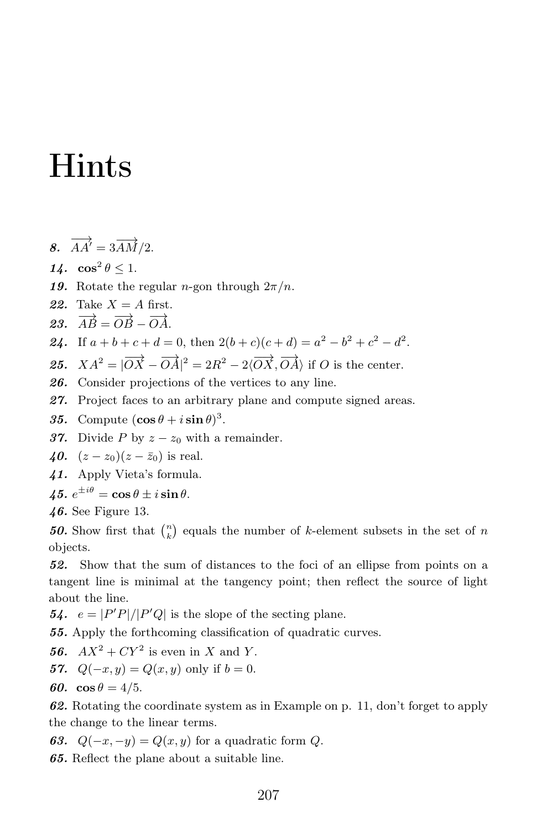## Hints

- 8.  $\overrightarrow{AA'}=3\overrightarrow{AM}/2$ .
- 14.  $\cos^2 \theta \leq 1$ .
- 19. Rotate the regular *n*-gon through  $2\pi/n$ .
- 22. Take  $X = A$  first.
- 23.  $\overrightarrow{AB} = \overrightarrow{OB} \overrightarrow{OA}$ .
- **24.** If  $a + b + c + d = 0$ , then  $2(b + c)(c + d) = a^2 b^2 + c^2 d^2$ .

**25.** 
$$
XA^2 = |\overrightarrow{OX} - \overrightarrow{OA}|^2 = 2R^2 - 2\langle \overrightarrow{OX}, \overrightarrow{OA} \rangle
$$
 if *O* is the center.

- 26. Consider projections of the vertices to any line.
- 27. Project faces to an arbitrary plane and compute signed areas.
- **35.** Compute  $(\cos \theta + i \sin \theta)^3$ .
- 37. Divide P by  $z z_0$  with a remainder.

40.  $(z-z_0)(z-\bar{z}_0)$  is real.

41. Apply Vieta's formula.

45.  $e^{\pm i\theta} = \cos \theta \pm i \sin \theta$ .

46. See Figure 13.

**50.** Show first that  $\binom{n}{k}$  equals the number of k-element subsets in the set of n objects.

52. Show that the sum of distances to the foci of an ellipse from points on a tangent line is minimal at the tangency point; then reflect the source of light about the line.

**54.**  $e = |P'P|/|P'Q|$  is the slope of the secting plane.

55. Apply the forthcoming classification of quadratic curves.

56.  $AX^2 + CY^2$  is even in X and Y.

- 57.  $Q(-x, y) = Q(x, y)$  only if  $b = 0$ .
- 60.  $\cos \theta = 4/5$ .

62. Rotating the coordinate system as in Example on p. 11, don't forget to apply the change to the linear terms.

63.  $Q(-x,-y) = Q(x,y)$  for a quadratic form Q.

65. Reflect the plane about a suitable line.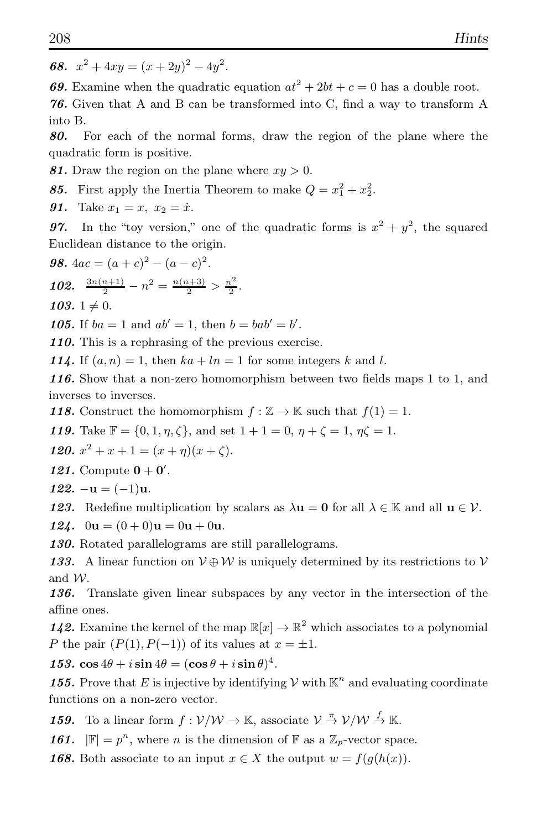68.  $x^2 + 4xy = (x + 2y)^2 - 4y^2$ .

**69.** Examine when the quadratic equation  $at^2 + 2bt + c = 0$  has a double root.

76. Given that A and B can be transformed into C, find a way to transform A into B.

80. For each of the normal forms, draw the region of the plane where the quadratic form is positive.

81. Draw the region on the plane where  $xy > 0$ .

85. First apply the Inertia Theorem to make  $Q = x_1^2 + x_2^2$ .

**91.** Take  $x_1 = x$ ,  $x_2 = \dot{x}$ .

**97.** In the "toy version," one of the quadratic forms is  $x^2 + y^2$ , the squared Euclidean distance to the origin.

**98.** 
$$
4ac = (a + c)^2 - (a - c)^2
$$
.

102.  $\frac{3n(n+1)}{2} - n^2 = \frac{n(n+3)}{2} > \frac{n^2}{2}$  $\frac{i^2}{2}$ .

103.  $1 \neq 0$ .

**105.** If  $ba = 1$  and  $ab' = 1$ , then  $b = bab' = b'$ .

110. This is a rephrasing of the previous exercise.

114. If  $(a, n) = 1$ , then  $ka + ln = 1$  for some integers k and l.

116. Show that a non-zero homomorphism between two fields maps 1 to 1, and inverses to inverses.

118. Construct the homomorphism  $f : \mathbb{Z} \to \mathbb{K}$  such that  $f(1) = 1$ .

**119.** Take  $\mathbb{F} = \{0, 1, \eta, \zeta\}$ , and set  $1 + 1 = 0$ ,  $\eta + \zeta = 1$ ,  $\eta \zeta = 1$ .

120.  $x^2 + x + 1 = (x + \eta)(x + \zeta)$ .

121. Compute  $0 + 0'$ .

122.  $-\mathbf{u} = (-1)\mathbf{u}$ .

123. Redefine multiplication by scalars as  $\lambda$ **u** = 0 for all  $\lambda \in \mathbb{K}$  and all **u**  $\in \mathcal{V}$ .

124.  $0u = (0 + 0)u = 0u + 0u$ .

130. Rotated parallelograms are still parallelograms.

133. A linear function on  $V \oplus W$  is uniquely determined by its restrictions to V and W.

136. Translate given linear subspaces by any vector in the intersection of the affine ones.

**142.** Examine the kernel of the map  $\mathbb{R}[x] \to \mathbb{R}^2$  which associates to a polynomial P the pair  $(P(1), P(-1))$  of its values at  $x = \pm 1$ .

153.  $\cos 4\theta + i \sin 4\theta = (\cos \theta + i \sin \theta)^4$ .

**155.** Prove that E is injective by identifying  $V$  with  $\mathbb{K}^n$  and evaluating coordinate functions on a non-zero vector.

**159.** To a linear form  $f: V/W \to \mathbb{K}$ , associate  $V \stackrel{\pi}{\to} V/W \stackrel{f}{\to} \mathbb{K}$ .

**161.**  $|\mathbb{F}| = p^n$ , where *n* is the dimension of  $\mathbb{F}$  as a  $\mathbb{Z}_p$ -vector space.

**168.** Both associate to an input  $x \in X$  the output  $w = f(g(h(x)))$ .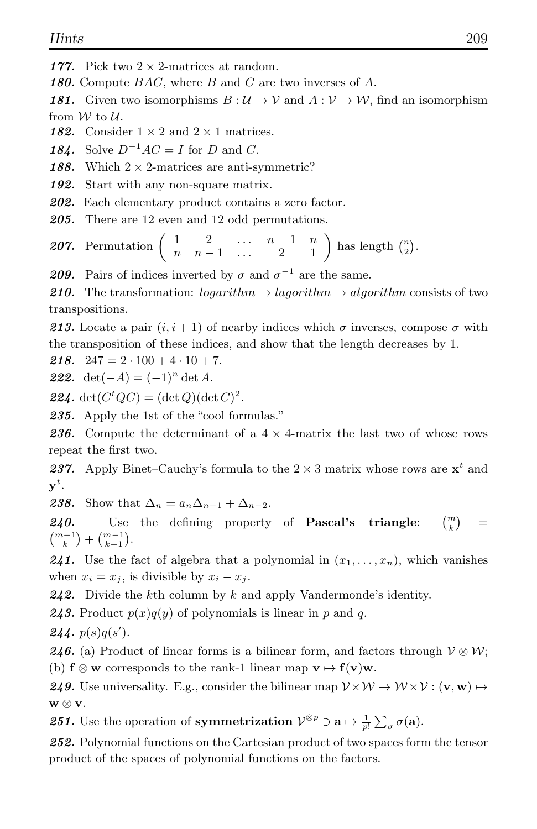- 177. Pick two  $2 \times 2$ -matrices at random.
- 180. Compute  $BAC$ , where B and C are two inverses of A.

181. Given two isomorphisms  $B: U \to V$  and  $A: V \to W$ , find an isomorphism from  $W$  to  $U$ .

- 182. Consider  $1 \times 2$  and  $2 \times 1$  matrices.
- 184. Solve  $D^{-1}AC = I$  for D and C.
- 188. Which  $2 \times 2$ -matrices are anti-symmetric?
- 192. Start with any non-square matrix.
- 202. Each elementary product contains a zero factor.
- 205. There are 12 even and 12 odd permutations.

**207.** Permutation 
$$
\begin{pmatrix} 1 & 2 & \dots & n-1 & n \\ n & n-1 & \dots & 2 & 1 \end{pmatrix}
$$
 has length  $\begin{pmatrix} n \\ 2 \end{pmatrix}$ .

**209.** Pairs of indices inverted by  $\sigma$  and  $\sigma^{-1}$  are the same.

210. The transformation:  $logarithm \rightarrow lagorithm \rightarrow algorithm$  consists of two transpositions.

213. Locate a pair  $(i, i + 1)$  of nearby indices which  $\sigma$  inverses, compose  $\sigma$  with the transposition of these indices, and show that the length decreases by 1.

**218.** 247 =  $2 \cdot 100 + 4 \cdot 10 + 7$ .

222. det $(-A) = (-1)^n \det A$ .

**224.**  $\det(C^tQC) = (\det Q)(\det C)^2$ .

235. Apply the 1st of the "cool formulas."

**236.** Compute the determinant of a  $4 \times 4$ -matrix the last two of whose rows repeat the first two.

**237.** Apply Binet–Cauchy's formula to the  $2 \times 3$  matrix whose rows are  $\mathbf{x}^t$  and  $\mathbf{y}^t$  .

238. Show that  $\Delta_n = a_n \Delta_{n-1} + \Delta_{n-2}$ .

 $240.$  Use the defining property of Pascal's triangle:  ${m \choose k}$ =  $\binom{m-1}{k} + \binom{m-1}{k-1}.$ 

**241.** Use the fact of algebra that a polynomial in  $(x_1, \ldots, x_n)$ , which vanishes when  $x_i = x_j$ , is divisible by  $x_i - x_j$ .

**242.** Divide the kth column by k and apply Vandermonde's identity.

**243.** Product  $p(x)q(y)$  of polynomials is linear in p and q.

**244.**  $p(s)q(s')$ .

246. (a) Product of linear forms is a bilinear form, and factors through  $V \otimes W$ ; (b)  $f \otimes w$  corresponds to the rank-1 linear map  $v \mapsto f(v)w$ .

249. Use universality. E.g., consider the bilinear map  $V \times W \to W \times V$ :  $(\mathbf{v}, \mathbf{w}) \mapsto$ w ⊗ v.

**251.** Use the operation of **symmetrization**  $\mathcal{V}^{\otimes p} \ni \mathbf{a} \mapsto \frac{1}{p!} \sum_{\sigma} \sigma(\mathbf{a})$ .

252. Polynomial functions on the Cartesian product of two spaces form the tensor product of the spaces of polynomial functions on the factors.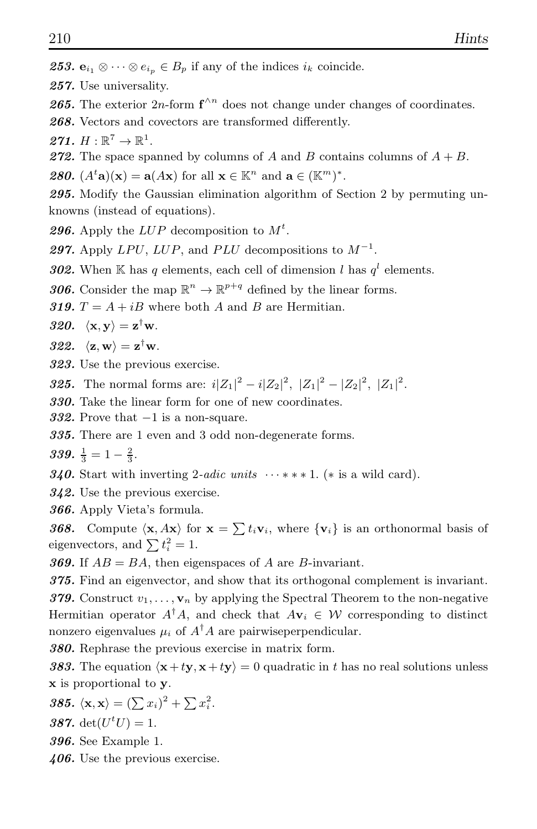253.  $e_{i_1} \otimes \cdots \otimes e_{i_p} \in B_p$  if any of the indices  $i_k$  coincide.

257. Use universality.

**265.** The exterior  $2n$ -form  $f^{\wedge n}$  does not change under changes of coordinates.

268. Vectors and covectors are transformed differently.

271.  $H:\mathbb{R}^7\to\mathbb{R}^1$ .

272. The space spanned by columns of A and B contains columns of  $A + B$ .

**280.**  $(A^t \mathbf{a})(\mathbf{x}) = \mathbf{a}(A\mathbf{x})$  for all  $\mathbf{x} \in \mathbb{K}^n$  and  $\mathbf{a} \in (\mathbb{K}^m)^*$ .

295. Modify the Gaussian elimination algorithm of Section 2 by permuting unknowns (instead of equations).

**296.** Apply the  $LUP$  decomposition to  $M<sup>t</sup>$ .

297. Apply  $LPU$ ,  $LUP$ , and  $PLU$  decompositions to  $M^{-1}$ .

302. When K has q elements, each cell of dimension l has  $q^l$  elements.

**306.** Consider the map  $\mathbb{R}^n \to \mathbb{R}^{p+q}$  defined by the linear forms.

319.  $T = A + iB$  where both A and B are Hermitian.

320.  $\langle \mathbf{x}, \mathbf{y} \rangle = \mathbf{z}^{\dagger} \mathbf{w}$ .

322.  $\langle \mathbf{z}, \mathbf{w} \rangle = \mathbf{z}^{\mathsf{T}} \mathbf{w}.$ 

323. Use the previous exercise.

**325.** The normal forms are:  $i|Z_1|^2 - i|Z_2|^2$ ,  $|Z_1|^2 - |Z_2|^2$ ,  $|Z_1|^2$ .

330. Take the linear form for one of new coordinates.

332. Prove that  $-1$  is a non-square.

335. There are 1 even and 3 odd non-degenerate forms.

339.  $\frac{1}{3} = 1 - \frac{2}{3}$ .

340. Start with inverting 2-*adic units*  $\cdots$  \*\*\* 1. (\* is a wild card).

342. Use the previous exercise.

366. Apply Vieta's formula.

**368.** Compute  $\langle \mathbf{x}, A\mathbf{x} \rangle$  for  $\mathbf{x} = \sum t_i \mathbf{v}_i$ , where  $\{v_i\}$  is an orthonormal basis of eigenvectors, and  $\sum t_i^2 = 1$ .

**369.** If  $AB = BA$ , then eigenspaces of A are B-invariant.

375. Find an eigenvector, and show that its orthogonal complement is invariant.

379. Construct  $v_1, \ldots, v_n$  by applying the Spectral Theorem to the non-negative Hermitian operator  $A^{\dagger}A$ , and check that  $A\mathbf{v}_i \in \mathcal{W}$  corresponding to distinct nonzero eigenvalues  $\mu_i$  of  $A^{\dagger}A$  are pairwiseperpendicular.

380. Rephrase the previous exercise in matrix form.

383. The equation  $\langle \mathbf{x}+t\mathbf{v}, \mathbf{x}+t\mathbf{v} \rangle = 0$  quadratic in t has no real solutions unless x is proportional to y.

$$
385. \langle \mathbf{x}, \mathbf{x} \rangle = (\sum x_i)^2 + \sum x_i^2.
$$

387. det $(U^t U) = 1$ .

396. See Example 1.

 $406.$  Use the previous exercise.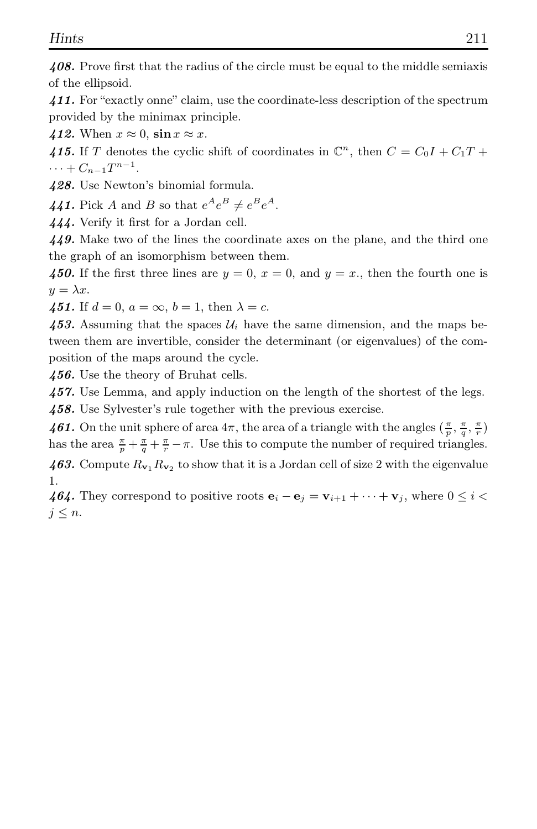408. Prove first that the radius of the circle must be equal to the middle semiaxis of the ellipsoid.

411. For "exactly onne" claim, use the coordinate-less description of the spectrum provided by the minimax principle.

412. When  $x \approx 0$ ,  $\sin x \approx x$ .

415. If T denotes the cyclic shift of coordinates in  $\mathbb{C}^n$ , then  $C = C_0I + C_1T + C_2I$  $\cdots + C_{n-1}T^{n-1}.$ 

428. Use Newton's binomial formula.

441. Pick A and B so that  $e^A e^B \neq e^B e^A$ .

444. Verify it first for a Jordan cell.

449. Make two of the lines the coordinate axes on the plane, and the third one the graph of an isomorphism between them.

450. If the first three lines are  $y = 0$ ,  $x = 0$ , and  $y = x$ ., then the fourth one is  $y = \lambda x$ .

451. If  $d = 0$ ,  $a = \infty$ ,  $b = 1$ , then  $\lambda = c$ .

453. Assuming that the spaces  $\mathcal{U}_i$  have the same dimension, and the maps between them are invertible, consider the determinant (or eigenvalues) of the composition of the maps around the cycle.

456. Use the theory of Bruhat cells.

457. Use Lemma, and apply induction on the length of the shortest of the legs. 458. Use Sylvester's rule together with the previous exercise.

461. On the unit sphere of area  $4\pi$ , the area of a triangle with the angles  $(\frac{\pi}{p}, \frac{\pi}{q}, \frac{\pi}{r})$ has the area  $\frac{\pi}{p} + \frac{\pi}{q} + \frac{\pi}{r} - \pi$ . Use this to compute the number of required triangles. 463. Compute  $R_{v_1}R_{v_2}$  to show that it is a Jordan cell of size 2 with the eigenvalue 1.

464. They correspond to positive roots  $\mathbf{e}_i - \mathbf{e}_j = \mathbf{v}_{i+1} + \cdots + \mathbf{v}_j$ , where  $0 \le i <$  $j \leq n$ .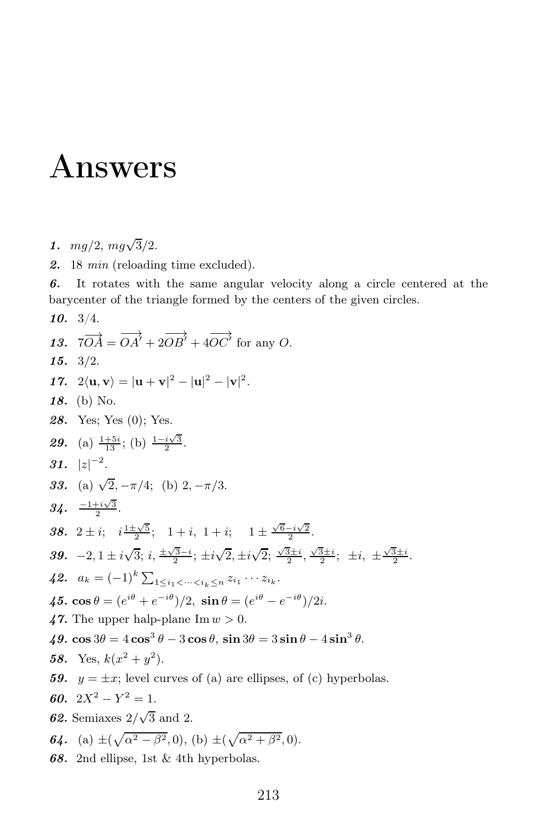## Answers

- 1.  $mg/2, mg\sqrt{3}/2$ .
- 2. 18 min (reloading time excluded).

6. It rotates with the same angular velocity along a circle centered at the barycenter of the triangle formed by the centers of the given circles.

10. 3/4.

13.  $7\overrightarrow{OA} = \overrightarrow{OA'} + 2\overrightarrow{OB'} + 4\overrightarrow{OC'}$  for any O. 15. 3/2. 17.  $2\langle \mathbf{u}, \mathbf{v} \rangle = |\mathbf{u} + \mathbf{v}|^2 - |\mathbf{u}|^2 - |\mathbf{v}|^2$ . 18. (b) No. 28. Yes; Yes (0); Yes. **29.** (a)  $\frac{1+5i}{13}$ ; (b)  $\frac{1-i\sqrt{3}}{2}$ . 31.  $|z|^{-2}$ . 33. (a)  $\sqrt{2}, -\pi/4$ ; (b)  $2, -\pi/3$ .  $34. \frac{-1+i\sqrt{3}}{2}.$ 38.  $2 \pm i$ ;  $i \frac{1 \pm \sqrt{5}}{2}$ ;  $1 + i$ ,  $1 + i$ ;  $1 \pm \frac{\sqrt{6} - i\sqrt{2}}{2}$ . 39.  $-2, 1 \pm i\sqrt{3}$ ;  $i, \frac{\pm \sqrt{3}-i}{2}$ ;  $\pm i\sqrt{2}, \pm i\sqrt{2}$ ;  $\frac{\sqrt{3}\pm i}{2}$ ,  $\frac{\sqrt{3}\pm i}{2}$ ;  $\pm i, \pm \frac{\sqrt{3}\pm i}{2}$ . 42.  $a_k = (-1)^k \sum_{1 \leq i_1 < \dots < i_k \leq n} z_{i_1} \cdots z_{i_k}.$ 45.  $\cos \theta = (e^{i\theta} + e^{-i\theta})/2$ ,  $\sin \theta = (e^{i\theta} - e^{-i\theta})/2i$ . 47. The upper halp-plane  $\text{Im} w > 0$ . 49.  $\cos 3\theta = 4\cos^3 \theta - 3\cos \theta$ ,  $\sin 3\theta = 3\sin \theta - 4\sin^3 \theta$ . 58. Yes,  $k(x^2+y^2)$ . 59.  $y = \pm x$ ; level curves of (a) are ellipses, of (c) hyperbolas. 60.  $2X^2 - Y^2 = 1$ . **62.** Semiaxes  $2/\sqrt{3}$  and 2. **64.** (a)  $\pm(\sqrt{\alpha^2-\beta^2},0)$ , (b)  $\pm(\sqrt{\alpha^2+\beta^2},0)$ . 68. 2nd ellipse, 1st & 4th hyperbolas.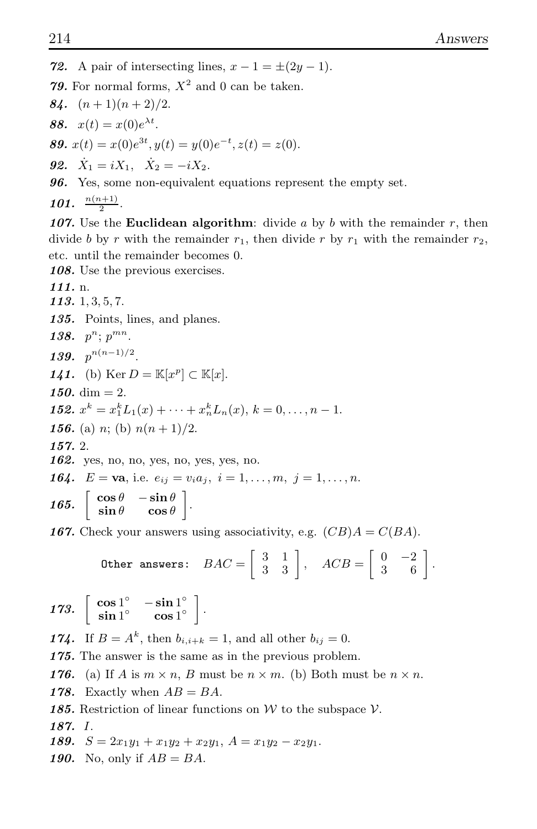72. A pair of intersecting lines,  $x - 1 = \pm (2y - 1)$ . 79. For normal forms,  $X^2$  and 0 can be taken. 84.  $(n+1)(n+2)/2$ . **88.**  $x(t) = x(0)e^{\lambda t}$ . 89.  $x(t) = x(0)e^{3t}, y(t) = y(0)e^{-t}, z(t) = z(0).$ **92.**  $\dot{X}_1 = iX_1, \quad \dot{X}_2 = -iX_2.$ 96. Yes, some non-equivalent equations represent the empty set. 101.  $\frac{n(n+1)}{2}$ . 107. Use the **Euclidean algorithm**: divide a by b with the remainder  $r$ , then divide b by r with the remainder  $r_1$ , then divide r by  $r_1$  with the remainder  $r_2$ , etc. until the remainder becomes 0. 108. Use the previous exercises. 111. n. 113. 1, 3, 5, 7. 135. Points, lines, and planes. 138.  $p^n$ ;  $p^{mn}$ . 139.  $p^{n(n-1)/2}$ . 141. (b)  $\text{Ker } D = \mathbb{K}[x^p] \subset \mathbb{K}[x]$ . 150. dim  $= 2$ . **152.**  $x^k = x_1^k L_1(x) + \cdots + x_n^k L_n(x), k = 0, \ldots, n-1.$ 156. (a) n; (b)  $n(n+1)/2$ . 157. 2. 162. yes, no, no, yes, no, yes, yes, no. **164.**  $E = \mathbf{va}$ , i.e.  $e_{ij} = v_i a_j$ ,  $i = 1, ..., m, j = 1, ..., n$ . 165.  $\begin{bmatrix} \cos \theta & -\sin \theta \\ \sin \theta & \cos \theta \end{bmatrix}$ .

**167.** Check your answers using associativity, e.g.  $(CB)A = C(BA)$ .

Other answers: 
$$
BAC = \begin{bmatrix} 3 & 1 \\ 3 & 3 \end{bmatrix}
$$
,  $ACB = \begin{bmatrix} 0 & -2 \\ 3 & 6 \end{bmatrix}$ .

173. 
$$
\left[\begin{array}{cc} \cos 1^{\circ} & -\sin 1^{\circ} \\ \sin 1^{\circ} & \cos 1^{\circ} \end{array}\right].
$$

**174.** If  $B = A^k$ , then  $b_{i,i+k} = 1$ , and all other  $b_{ij} = 0$ .

175. The answer is the same as in the previous problem.

176. (a) If A is  $m \times n$ , B must be  $n \times m$ . (b) Both must be  $n \times n$ .

178. Exactly when  $AB = BA$ .

185. Restriction of linear functions on W to the subspace  $V$ .

187. I.

189.  $S = 2x_1y_1 + x_1y_2 + x_2y_1$ ,  $A = x_1y_2 - x_2y_1$ .

190. No, only if  $AB = BA$ .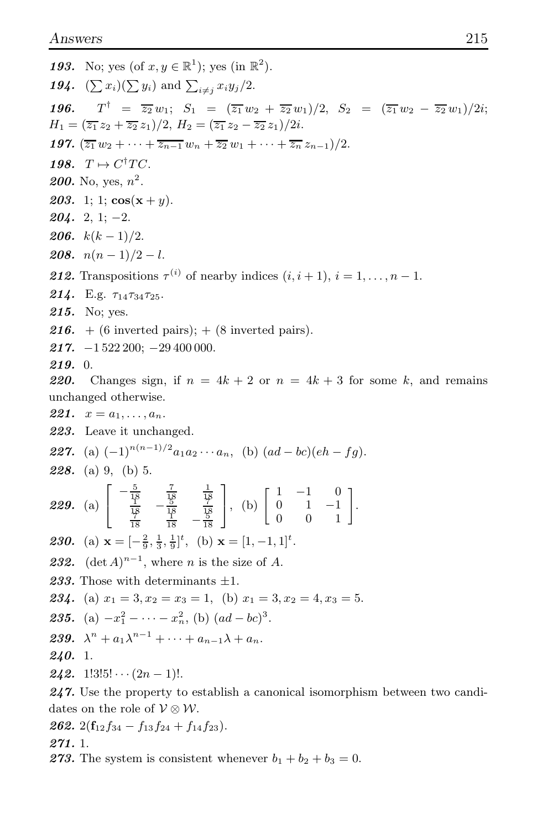**193.** No: yes (of  $x, y \in \mathbb{R}^1$ ); yes (in  $\mathbb{R}^2$ ). 194.  $(\sum x_i)(\sum y_i)$  and  $\sum_{i \neq i} x_i y_j/2$ .  $T^{\dagger} = \overline{z_2} w_1; S_1 = (\overline{z_1} w_2 + \overline{z_2} w_1)/2, S_2 = (\overline{z_1} w_2 - \overline{z_2} w_1)/2i;$ 196.  $H_1 = (\overline{z_1} z_2 + \overline{z_2} z_1)/2, H_2 = (\overline{z_1} z_2 - \overline{z_2} z_1)/2i.$ **197.**  $(\overline{z_1} w_2 + \cdots + \overline{z_{n-1}} w_n + \overline{z_2} w_1 + \cdots + \overline{z_n} z_{n-1})/2$ . 198.  $T \mapsto C^{\dagger}TC$ . **200.** No, yes,  $n^2$ . **203.** 1; 1;  $\cos(x + y)$ .  $204.2, 1; -2.$ **206.**  $k(k-1)/2$ . 208.  $n(n-1)/2-l$ . **212.** Transpositions  $\tau^{(i)}$  of nearby indices  $(i, i + 1), i = 1, \ldots, n - 1$ . **214.** E.g.  $\tau_{14}\tau_{34}\tau_{25}$ . 215. No; yes. 216. + (6 inverted pairs); + (8 inverted pairs). **217.**  $-1522200$ ;  $-29400000$ .  $219.0.$ 220. Changes sign, if  $n = 4k + 2$  or  $n = 4k + 3$  for some k, and remains unchanged otherwise. 221.  $x = a_1, \ldots, a_n$ . 223. Leave it unchanged. **227.** (a)  $(-1)^{n(n-1)/2}a_1a_2\cdots a_n$ , (b)  $(ad-bc)(eh-fg)$ . **228.** (a) 9, (b) 5. **229.** (a)  $\begin{bmatrix} -\frac{5}{18} & \frac{7}{18} & \frac{1}{18} \\ \frac{1}{18} & -\frac{5}{18} & \frac{7}{18} \\ \frac{7}{18} & \frac{1}{18} & -\frac{5}{18} \end{bmatrix}$ , (b)  $\begin{bmatrix} 1 & -1 & 0 \\ 0 & 1 & -1 \\ 0 & 0 & 1 \end{bmatrix}$ . **230.** (a)  $\mathbf{x} = \begin{bmatrix} -\frac{2}{9}, \frac{1}{3}, \frac{1}{9} \end{bmatrix}^t$ , (b)  $\mathbf{x} = \begin{bmatrix} 1, -1, 1 \end{bmatrix}^t$ . **232.**  $(\det A)^{n-1}$ , where *n* is the size of *A*. 233. Those with determinants  $\pm 1$ . **234.** (a)  $x_1 = 3, x_2 = x_3 = 1$ , (b)  $x_1 = 3, x_2 = 4, x_3 = 5$ . **235.** (a)  $-x_1^2 - \cdots - x_n^2$ , (b)  $(ad - bc)^3$ . 239.  $\lambda^{n} + a_{1}\lambda^{n-1} + \cdots + a_{n-1}\lambda + a_{n}$  $240.1$ **242.** 1!3!5! $\cdots$  (2n - 1)!.  $247$ . Use the property to establish a canonical isomorphism between two candidates on the role of  $V \otimes W$ .

**262.** 
$$
2(f_{12}f_{34} - f_{13}f_{24} + f_{14}f_{23}).
$$

 $271.1$ 

273. The system is consistent whenever  $b_1 + b_2 + b_3 = 0$ .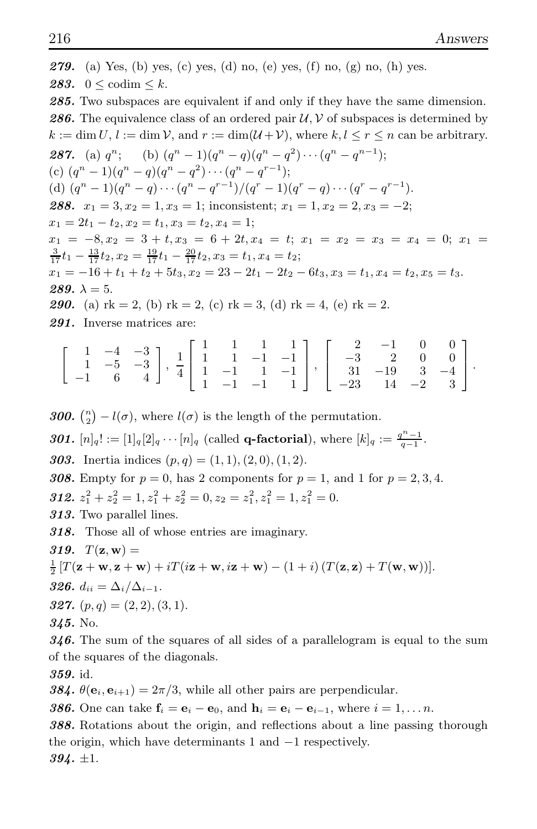**279.** (a) Yes, (b) yes, (c) yes, (d) no, (e) yes, (f) no, (g) no, (h) yes. 283.  $0 < \text{codim} < k$ . 285. Two subspaces are equivalent if and only if they have the same dimension. **286.** The equivalence class of an ordered pair  $\mathcal{U}, \mathcal{V}$  of subspaces is determined by  $k := \dim U, l := \dim V$ , and  $r := \dim(U + V)$ , where  $k, l \leq r \leq n$  can be arbitrary. **287.** (a)  $q^n$ ; (b)  $(q^n - 1)(q^n - q)(q^n - q^2) \cdots (q^n - q^{n-1})$ ; (c)  $(q^n - 1)(q^n - q)(q^n - q^2) \cdots (q^n - q^{r-1});$ (d)  $(q^n - 1)(q^n - q) \cdots (q^n - q^{r-1})/(q^r - 1)(q^r - q) \cdots (q^r - q^{r-1}).$ 288.  $x_1 = 3, x_2 = 1, x_3 = 1$ ; inconsistent;  $x_1 = 1, x_2 = 2, x_3 = -2$ ;  $x_1 = 2t_1 - t_2, x_2 = t_1, x_3 = t_2, x_4 = 1;$  $x_1 = -8, x_2 = 3 + t, x_3 = 6 + 2t, x_4 = t; x_1 = x_2 = x_3 = x_4 = 0; x_1 =$  $\frac{3}{17}t_1 - \frac{13}{17}t_2, x_2 = \frac{19}{17}t_1 - \frac{20}{17}t_2, x_3 = t_1, x_4 = t_2;$  $x_1 = -16 + t_1 + t_2 + 5t_3, x_2 = 23 - 2t_1 - 2t_2 - 6t_3, x_3 = t_1, x_4 = t_2, x_5 = t_3.$ 289.  $\lambda = 5$ . **290.** (a)  $rk = 2$ , (b)  $rk = 2$ , (c)  $rk = 3$ , (d)  $rk = 4$ , (e)  $rk = 2$ . 291. Inverse matrices are:  $\begin{bmatrix} 1 & -4 & -3 \\ 1 & 1 & -1 \end{bmatrix}$  $1 -5 -3$  $\begin{bmatrix} 1 & -4 & -3 \\ 1 & -5 & -3 \\ -1 & 6 & 4 \end{bmatrix}$  $\frac{1}{4}$ 4  $\sqrt{ }$  $\overline{\phantom{a}}$ 1 1 1 1 1 1 −1 −1 1 −1 1 −1 1 −1 −1 1 1  $\vert \cdot$  $\sqrt{ }$  $\overline{\phantom{a}}$  $\frac{2}{2}$  -1 0 0 −3 2 0 0 31 −19 3 −4 −23 14 −2 3 1  $\vert \cdot$ 

**300.**  $\binom{n}{2} - l(\sigma)$ , where  $l(\sigma)$  is the length of the permutation.

301.  $[n]_q! := [1]_q[2]_q \cdots [n]_q$  (called **q-factorial**), where  $[k]_q := \frac{q^n - 1}{q - 1}$ .

303. Inertia indices  $(p, q) = (1, 1), (2, 0), (1, 2)$ .

308. Empty for  $p = 0$ , has 2 components for  $p = 1$ , and 1 for  $p = 2, 3, 4$ . **312.**  $z_1^2 + z_2^2 = 1, z_1^2 + z_2^2 = 0, z_2 = z_1^2, z_1^2 = 1, z_1^2 = 0.$ 

313. Two parallel lines.

318. Those all of whose entries are imaginary.

319.  $T(\mathbf{z}, \mathbf{w}) =$ 

$$
\frac{1}{2}[T(\mathbf{z}+\mathbf{w},\mathbf{z}+\mathbf{w})+iT(i\mathbf{z}+\mathbf{w},i\mathbf{z}+\mathbf{w})-(1+i)(T(\mathbf{z},\mathbf{z})+T(\mathbf{w},\mathbf{w}))].
$$

326.  $d_{ii} = \Delta_i / \Delta_{i-1}$ .

**327.** 
$$
(p,q) = (2,2), (3,1).
$$

345. No.

346. The sum of the squares of all sides of a parallelogram is equal to the sum of the squares of the diagonals.

359. id.

384.  $\theta(\mathbf{e}_i, \mathbf{e}_{i+1}) = 2\pi/3$ , while all other pairs are perpendicular.

**386.** One can take  $f_i = e_i - e_0$ , and  $h_i = e_i - e_{i-1}$ , where  $i = 1, \ldots n$ .

388. Rotations about the origin, and reflections about a line passing thorough the origin, which have determinants 1 and −1 respectively.  $394. \pm 1.$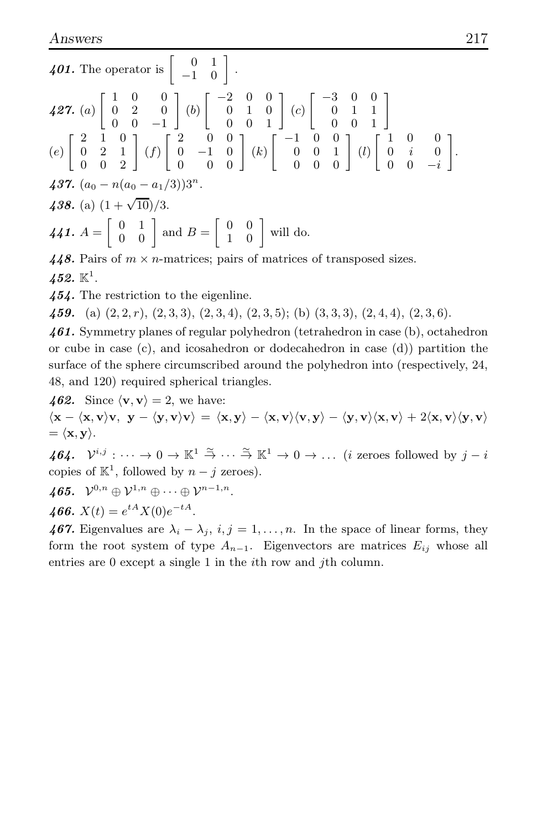401. The operator is  $\left[\begin{array}{cc} 0 & 1 \\ -1 & 0 \end{array}\right]$ .  $\pmb{427.}$   $(a)$  $\begin{bmatrix} 1 & 0 & 0 \end{bmatrix}$ 0 2 0  $0 \t 0 \t -1$ 1  $(b) \begin{bmatrix} -2 & 0 & 0 \\ 0 & 1 & 0 \end{bmatrix}$  $\left[\begin{array}{ccc} 2 & 0 & 0 \ 0 & 1 & 0 \ 0 & 0 & 1 \end{array}\right]$  $(c) \begin{bmatrix} -3 & 0 & 0 \\ 0 & 1 & 1 \end{bmatrix}$  $\left[\begin{array}{ccc} 3 & 0 & 0 \\ 0 & 1 & 1 \\ 0 & 0 & 1 \end{array}\right]$ (e)  $\begin{bmatrix} 2 & 1 & 0 \end{bmatrix}$ 0 2 1  $\left[\begin{array}{ccc} 2 & 1 & 0 \ 0 & 2 & 1 \ 0 & 0 & 2 \end{array}\right]$  $(f)$  $\begin{bmatrix} 2 & 0 & 0 \end{bmatrix}$  $\left[\begin{array}{ccc} 2 & 0 & 0 \ 0 & -1 & 0 \ 0 & 0 & 0 \end{array}\right]$  $(k) \begin{bmatrix} -1 & 0 & 0 \\ 0 & 0 & 1 \end{bmatrix}$  $\left[\begin{array}{ccc} 1 & 0 & 0 \ 0 & 0 & 1 \ 0 & 0 & 0 \end{array}\right]$ (l)  $\begin{bmatrix} 1 & 0 & 0 \end{bmatrix}$  $0 \quad i \quad 0$  $0 \t 0 \t -i$ 1 . 437.  $(a_0 - n(a_0 - a_1/3))3^n$ . 438. (a)  $(1 + \sqrt{10})/3$ . 441.  $A = \begin{bmatrix} 0 & 1 \\ 0 & 0 \end{bmatrix}$  and  $B = \begin{bmatrix} 0 & 0 \\ 1 & 0 \end{bmatrix}$  will do. 448. Pairs of  $m \times n$ -matrices; pairs of matrices of transposed sizes.

 $452.~\mathbb{K}^1.$ 

454. The restriction to the eigenline.

459. (a)  $(2, 2, r)$ ,  $(2, 3, 3)$ ,  $(2, 3, 4)$ ,  $(2, 3, 5)$ ; (b)  $(3, 3, 3)$ ,  $(2, 4, 4)$ ,  $(2, 3, 6)$ .

461. Symmetry planes of regular polyhedron (tetrahedron in case (b), octahedron or cube in case (c), and icosahedron or dodecahedron in case (d)) partition the surface of the sphere circumscribed around the polyhedron into (respectively, 24, 48, and 120) required spherical triangles.

462. Since  $\langle \mathbf{v}, \mathbf{v} \rangle = 2$ , we have:

 $\langle x - \langle x, v \rangle v, y - \langle y, v \rangle v \rangle = \langle x, y \rangle - \langle x, v \rangle \langle v, y \rangle - \langle y, v \rangle \langle x, v \rangle + 2 \langle x, v \rangle \langle v, v \rangle$  $= \langle \mathbf{x}, \mathbf{y} \rangle.$ 

464.  $\mathcal{V}^{i,j}: \cdots \to 0 \to \mathbb{K}^1 \stackrel{\simeq}{\to} \cdots \stackrel{\simeq}{\to} \mathbb{K}^1 \to 0 \to \ldots$  (*i* zeroes followed by  $j-i$ copies of  $\mathbb{K}^1$ , followed by  $n - j$  zeroes).

465. 
$$
\mathcal{V}^{0,n} \oplus \mathcal{V}^{1,n} \oplus \cdots \oplus \mathcal{V}^{n-1,n}.
$$

466.  $X(t) = e^{tA} X(0) e^{-tA}$ .

467. Eigenvalues are  $\lambda_i - \lambda_j$ ,  $i, j = 1, \ldots, n$ . In the space of linear forms, they form the root system of type  $A_{n-1}$ . Eigenvectors are matrices  $E_{ij}$  whose all entries are 0 except a single 1 in the *i*th row and *j*th column.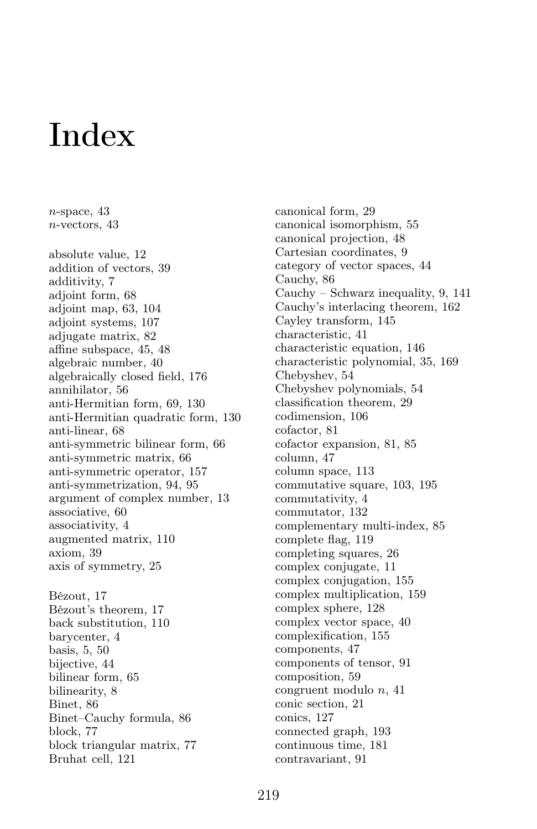## Index

 $n$ -space, 43

n-vectors, 43 absolute value, 12 addition of vectors, 39 additivity, 7 adjoint form, 68 adjoint map, 63, 104 adjoint systems, 107 adjugate matrix, 82 affine subspace, 45, 48 algebraic number, 40 algebraically closed field, 176 annihilator, 56 anti-Hermitian form, 69, 130 anti-Hermitian quadratic form, 130 anti-linear, 68 anti-symmetric bilinear form, 66 anti-symmetric matrix, 66 anti-symmetric operator, 157 anti-symmetrization, 94, 95 argument of complex number, 13 associative, 60 associativity, 4 augmented matrix, 110 axiom, 39 axis of symmetry, 25 Bézout, 17 Bézout's theorem, 17 back substitution, 110 barycenter, 4 basis, 5, 50 bijective, 44 bilinear form, 65 bilinearity, 8 Binet, 86 Binet–Cauchy formula, 86 block, 77 block triangular matrix, 77 Bruhat cell, 121

canonical form, 29 canonical isomorphism, 55 canonical projection, 48 Cartesian coordinates, 9 category of vector spaces, 44 Cauchy, 86 Cauchy – Schwarz inequality, 9, 141 Cauchy's interlacing theorem, 162 Cayley transform, 145 characteristic, 41 characteristic equation, 146 characteristic polynomial, 35, 169 Chebyshev, 54 Chebyshev polynomials, 54 classification theorem, 29 codimension, 106 cofactor, 81 cofactor expansion, 81, 85 column, 47 column space, 113 commutative square, 103, 195 commutativity, 4 commutator, 132 complementary multi-index, 85 complete flag, 119 completing squares, 26 complex conjugate, 11 complex conjugation, 155 complex multiplication, 159 complex sphere, 128 complex vector space, 40 complexification, 155 components, 47 components of tensor, 91 composition, 59 congruent modulo n, 41 conic section, 21 conics, 127 connected graph, 193 continuous time, 181 contravariant, 91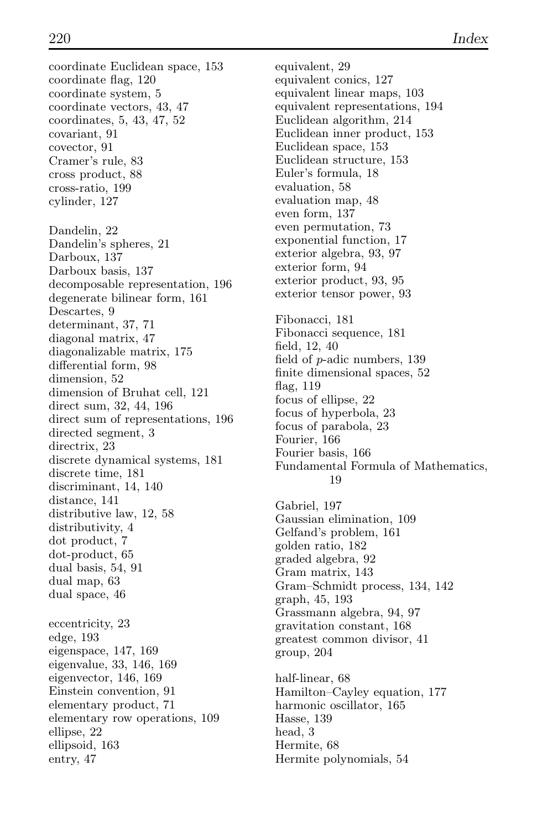coordinate Euclidean space, 153 coordinate flag, 120 coordinate system, 5 coordinate vectors, 43, 47 coordinates, 5, 43, 47, 52 covariant, 91 covector, 91 Cramer's rule, 83 cross product, 88 cross-ratio, 199 cylinder, 127 Dandelin, 22 Dandelin's spheres, 21 Darboux, 137 Darboux basis, 137 decomposable representation, 196 degenerate bilinear form, 161 Descartes, 9 determinant, 37, 71 diagonal matrix, 47 diagonalizable matrix, 175 differential form, 98 dimension, 52 dimension of Bruhat cell, 121 direct sum, 32, 44, 196 direct sum of representations, 196 directed segment, 3 directrix, 23 discrete dynamical systems, 181 discrete time, 181 discriminant, 14, 140 distance, 141 distributive law, 12, 58 distributivity, 4 dot product, 7 dot-product, 65 dual basis, 54, 91 dual map, 63 dual space, 46 eccentricity, 23 edge, 193 eigenspace, 147, 169 eigenvalue, 33, 146, 169 eigenvector, 146, 169 Einstein convention, 91 elementary product, 71 elementary row operations, 109 ellipse, 22 ellipsoid, 163 entry, 47

equivalent, 29 equivalent conics, 127 equivalent linear maps, 103 equivalent representations, 194 Euclidean algorithm, 214 Euclidean inner product, 153 Euclidean space, 153 Euclidean structure, 153 Euler's formula, 18 evaluation, 58 evaluation map, 48 even form, 137 even permutation, 73 exponential function, 17 exterior algebra, 93, 97 exterior form, 94 exterior product, 93, 95 exterior tensor power, 93 Fibonacci, 181 Fibonacci sequence, 181 field, 12, 40 field of p-adic numbers, 139 finite dimensional spaces, 52 flag, 119 focus of ellipse, 22 focus of hyperbola, 23 focus of parabola, 23 Fourier, 166 Fourier basis, 166 Fundamental Formula of Mathematics, 19 Gabriel, 197 Gaussian elimination, 109 Gelfand's problem, 161 golden ratio, 182 graded algebra, 92 Gram matrix, 143 Gram–Schmidt process, 134, 142 graph, 45, 193 Grassmann algebra, 94, 97 gravitation constant, 168 greatest common divisor, 41 group, 204 half-linear, 68 Hamilton–Cayley equation, 177 harmonic oscillator, 165 Hasse, 139 head, 3 Hermite, 68 Hermite polynomials, 54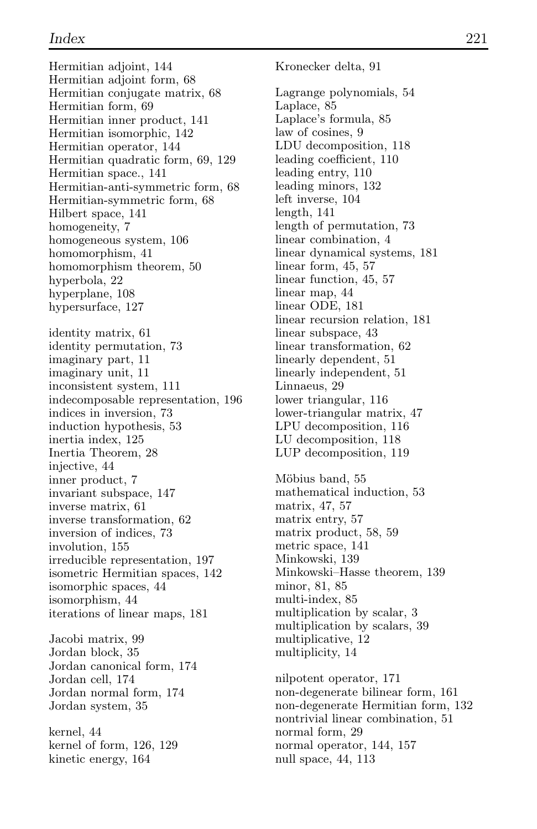Hermitian adjoint, 144 Hermitian adjoint form, 68 Hermitian conjugate matrix, 68 Hermitian form, 69 Hermitian inner product, 141 Hermitian isomorphic, 142 Hermitian operator, 144 Hermitian quadratic form, 69, 129 Hermitian space., 141 Hermitian-anti-symmetric form, 68 Hermitian-symmetric form, 68 Hilbert space, 141 homogeneity, 7 homogeneous system, 106 homomorphism, 41 homomorphism theorem, 50 hyperbola, 22 hyperplane, 108 hypersurface, 127 identity matrix, 61 identity permutation, 73 imaginary part, 11 imaginary unit, 11 inconsistent system, 111 indecomposable representation, 196 indices in inversion, 73 induction hypothesis, 53 inertia index, 125 Inertia Theorem, 28 injective, 44 inner product, 7 invariant subspace, 147 inverse matrix, 61 inverse transformation, 62 inversion of indices, 73 involution, 155 irreducible representation, 197 isometric Hermitian spaces, 142 isomorphic spaces, 44 isomorphism, 44 iterations of linear maps, 181 Jacobi matrix, 99 Jordan block, 35 Jordan canonical form, 174 Jordan cell, 174 Jordan normal form, 174 Jordan system, 35

kernel, 44 kernel of form, 126, 129 kinetic energy, 164

Kronecker delta, 91 Lagrange polynomials, 54 Laplace, 85 Laplace's formula, 85 law of cosines, 9 LDU decomposition, 118 leading coefficient, 110 leading entry, 110 leading minors, 132 left inverse, 104 length, 141 length of permutation, 73 linear combination, 4 linear dynamical systems, 181 linear form, 45, 57 linear function, 45, 57 linear map, 44 linear ODE, 181 linear recursion relation, 181 linear subspace, 43 linear transformation, 62 linearly dependent, 51 linearly independent, 51 Linnaeus, 29 lower triangular, 116 lower-triangular matrix, 47 LPU decomposition, 116 LU decomposition, 118 LUP decomposition, 119

Möbius band, 55 mathematical induction, 53 matrix, 47, 57 matrix entry, 57 matrix product, 58, 59 metric space, 141 Minkowski, 139 Minkowski–Hasse theorem, 139 minor, 81, 85 multi-index, 85 multiplication by scalar, 3 multiplication by scalars, 39 multiplicative, 12 multiplicity, 14

nilpotent operator, 171 non-degenerate bilinear form, 161 non-degenerate Hermitian form, 132 nontrivial linear combination, 51 normal form, 29 normal operator, 144, 157 null space, 44, 113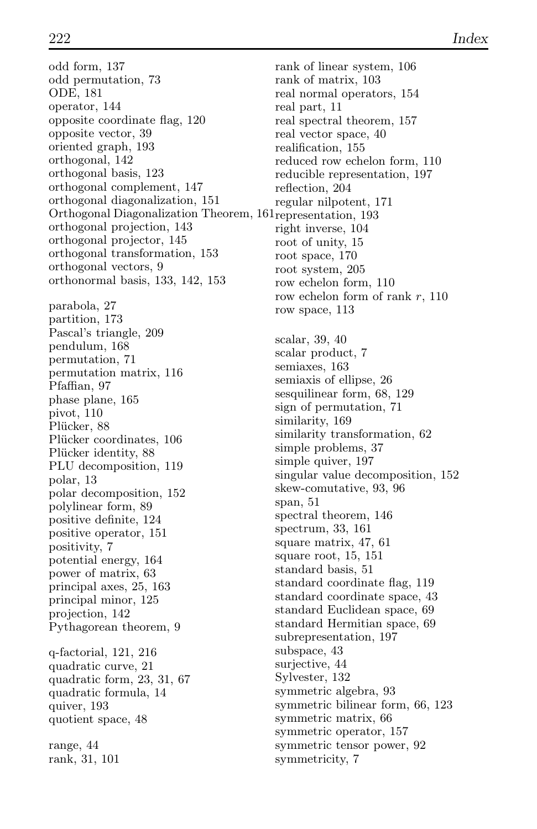odd form, 137 odd permutation, 73 ODE, 181 operator, 144 opposite coordinate flag, 120 opposite vector, 39 oriented graph, 193 orthogonal, 142 orthogonal basis, 123 orthogonal complement, 147 orthogonal diagonalization, 151 Orthogonal Diagonalization Theorem, 161 representation, 193 orthogonal projection, 143 orthogonal projector, 145 orthogonal transformation, 153 orthogonal vectors, 9 orthonormal basis, 133, 142, 153 parabola, 27 partition, 173 Pascal's triangle, 209 pendulum, 168 permutation, 71 permutation matrix, 116 Pfaffian, 97 phase plane, 165 pivot, 110 Plücker, 88 Plücker coordinates, 106 Plücker identity, 88 PLU decomposition, 119 polar, 13 polar decomposition, 152 polylinear form, 89 positive definite, 124 positive operator, 151 positivity, 7 potential energy, 164 power of matrix, 63 principal axes, 25, 163 principal minor, 125 projection, 142 Pythagorean theorem, 9 q-factorial, 121, 216 quadratic curve, 21 quadratic form, 23, 31, 67 quadratic formula, 14 quiver, 193 quotient space, 48 range, 44 rank, 31, 101

rank of linear system, 106 rank of matrix, 103 real normal operators, 154 real part, 11 real spectral theorem, 157 real vector space, 40 realification, 155 reduced row echelon form, 110 reducible representation, 197 reflection, 204 regular nilpotent, 171 right inverse, 104 root of unity, 15 root space, 170 root system, 205 row echelon form, 110 row echelon form of rank r, 110 row space, 113 scalar, 39, 40 scalar product, 7 semiaxes, 163 semiaxis of ellipse, 26 sesquilinear form, 68, 129 sign of permutation, 71 similarity, 169 similarity transformation, 62 simple problems, 37 simple quiver, 197 singular value decomposition, 152 skew-comutative, 93, 96 span, 51 spectral theorem, 146 spectrum, 33, 161 square matrix, 47, 61 square root, 15, 151 standard basis, 51 standard coordinate flag, 119 standard coordinate space, 43 standard Euclidean space, 69 standard Hermitian space, 69 subrepresentation, 197 subspace, 43 surjective, 44 Sylvester, 132 symmetric algebra, 93 symmetric bilinear form, 66, 123 symmetric matrix, 66 symmetric operator, 157 symmetric tensor power, 92 symmetricity, 7